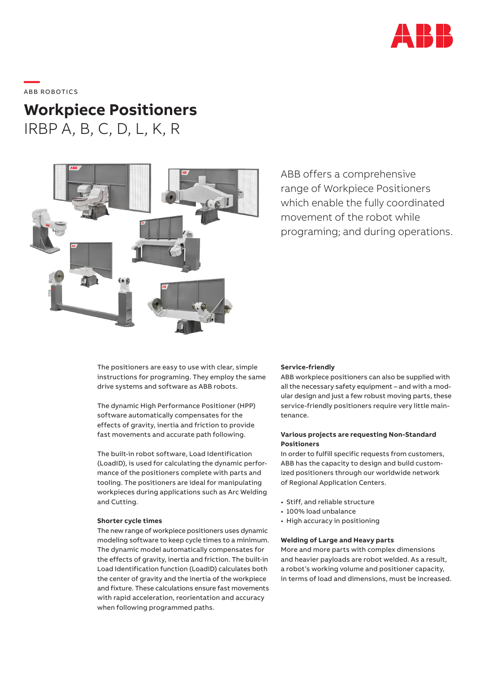

——<br>ABB ROBOTICS

# **Workpiece Positioners** IRBP A, B, C, D, L, K, R



ABB offers a comprehensive range of Workpiece Positioners which enable the fully coordinated movement of the robot while programing; and during operations.

The positioners are easy to use with clear, simple instructions for programing. They employ the same drive systems and software as ABB robots.

The dynamic High Performance Positioner (HPP) software automatically compensates for the effects of gravity, inertia and friction to provide fast movements and accurate path following.

The built-in robot software, Load Identification (LoadID), is used for calculating the dynamic performance of the positioners complete with parts and tooling. The positioners are ideal for manipulating workpieces during applications such as Arc Welding and Cutting.

## **Shorter cycle times**

The new range of workpiece positioners uses dynamic modeling software to keep cycle times to a minimum. The dynamic model automatically compensates for the effects of gravity, inertia and friction. The built-in Load Identification function (LoadID) calculates both the center of gravity and the inertia of the workpiece and fixture. These calculations ensure fast movements with rapid acceleration, reorientation and accuracy when following programmed paths.

### **Service-friendly**

ABB workpiece positioners can also be supplied with all the necessary safety equipment – and with a modular design and just a few robust moving parts, these service-friendly positioners require very little maintenance.

## **Various projects are requesting Non-Standard Positioners**

In order to fulfill specific requests from customers, ABB has the capacity to design and build customized positioners through our worldwide network of Regional Application Centers.

- Stiff, and reliable structure
- 100% load unbalance
- High accuracy in positioning

## **Welding of Large and Heavy parts**

More and more parts with complex dimensions and heavier payloads are robot welded. As a result, a robot's working volume and positioner capacity, in terms of load and dimensions, must be increased.